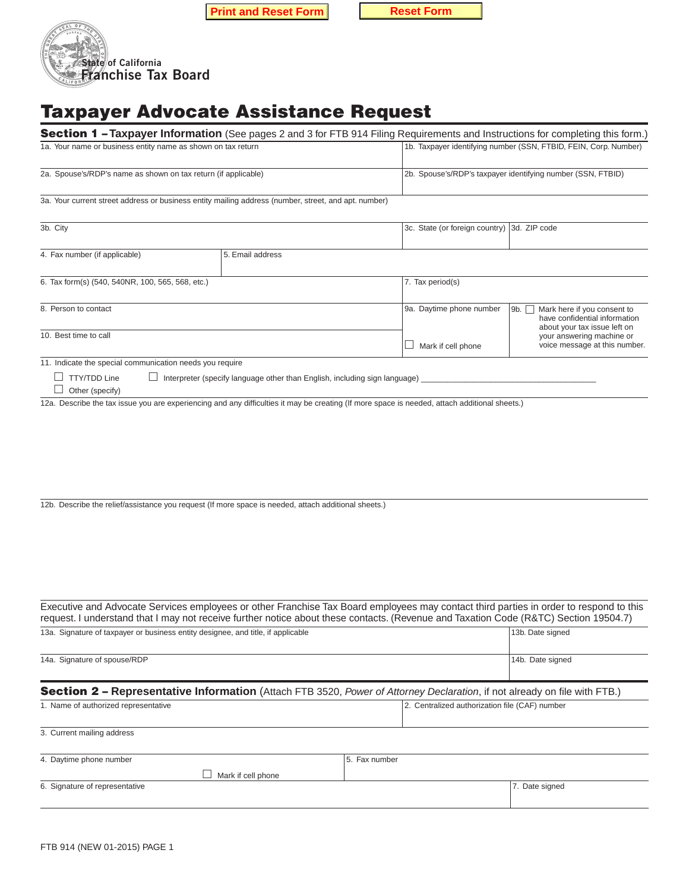**Print and Reset Form Reset Form** 





# **Taxpayer Advocate Assistance Request**

|                                                                                                    |                                                                                                                                                                                    | <b>Section 1 - Taxpayer Information</b> (See pages 2 and 3 for FTB 914 Filing Requirements and Instructions for completing this form.)                                                                                                                                         |                                                                                                            |  |
|----------------------------------------------------------------------------------------------------|------------------------------------------------------------------------------------------------------------------------------------------------------------------------------------|--------------------------------------------------------------------------------------------------------------------------------------------------------------------------------------------------------------------------------------------------------------------------------|------------------------------------------------------------------------------------------------------------|--|
| 1a. Your name or business entity name as shown on tax return                                       |                                                                                                                                                                                    |                                                                                                                                                                                                                                                                                | 1b. Taxpayer identifying number (SSN, FTBID, FEIN, Corp. Number)                                           |  |
| 2a. Spouse's/RDP's name as shown on tax return (if applicable)                                     |                                                                                                                                                                                    |                                                                                                                                                                                                                                                                                | 2b. Spouse's/RDP's taxpayer identifying number (SSN, FTBID)                                                |  |
|                                                                                                    | 3a. Your current street address or business entity mailing address (number, street, and apt. number)                                                                               |                                                                                                                                                                                                                                                                                |                                                                                                            |  |
| 3b. City                                                                                           |                                                                                                                                                                                    | 3c. State (or foreign country)                                                                                                                                                                                                                                                 | 3d. ZIP code                                                                                               |  |
| 4. Fax number (if applicable)                                                                      | 5. Email address                                                                                                                                                                   |                                                                                                                                                                                                                                                                                |                                                                                                            |  |
| 6. Tax form(s) (540, 540NR, 100, 565, 568, etc.)                                                   |                                                                                                                                                                                    | 7. Tax period(s)                                                                                                                                                                                                                                                               |                                                                                                            |  |
| 8. Person to contact                                                                               |                                                                                                                                                                                    | 9a. Daytime phone number                                                                                                                                                                                                                                                       | Mark here if you consent to<br>9b. $\Box$<br>have confidential information<br>about your tax issue left on |  |
| 10. Best time to call                                                                              |                                                                                                                                                                                    | Mark if cell phone                                                                                                                                                                                                                                                             | your answering machine or<br>voice message at this number.                                                 |  |
| 11. Indicate the special communication needs you require<br>$\Box$ TTY/TDD Line<br>Other (specify) | Interpreter (specify language other than English, including sign language)<br>12b. Describe the relief/assistance you request (If more space is needed, attach additional sheets.) | 12a. Describe the tax issue you are experiencing and any difficulties it may be creating (If more space is needed, attach additional sheets.)                                                                                                                                  |                                                                                                            |  |
|                                                                                                    |                                                                                                                                                                                    | Executive and Advocate Services employees or other Franchise Tax Board employees may contact third parties in order to respond to this<br>request. I understand that I may not receive further notice about these contacts. (Revenue and Taxation Code (R&TC) Section 19504.7) |                                                                                                            |  |
| 13a. Signature of taxpayer or business entity designee, and title, if applicable                   |                                                                                                                                                                                    |                                                                                                                                                                                                                                                                                | 13b. Date signed                                                                                           |  |

| 14a. Signature of spouse/RDP                                                                                              | 14b. Date signed                               |  |  |  |  |
|---------------------------------------------------------------------------------------------------------------------------|------------------------------------------------|--|--|--|--|
| Section 2 - Representative Information (Attach FTB 3520, Power of Attorney Declaration, if not already on file with FTB.) |                                                |  |  |  |  |
| 1. Name of authorized representative                                                                                      | 2. Centralized authorization file (CAF) number |  |  |  |  |
| 3. Current mailing address                                                                                                |                                                |  |  |  |  |
| 1. Doutimo phono numbor                                                                                                   | <b>E</b> Env numbor                            |  |  |  |  |

| 4. Daytime phone number        | 15. Fax number |                |
|--------------------------------|----------------|----------------|
| $\perp$ Mark if cell phone     |                |                |
| 6. Signature of representative |                | 7. Date signed |
|                                |                |                |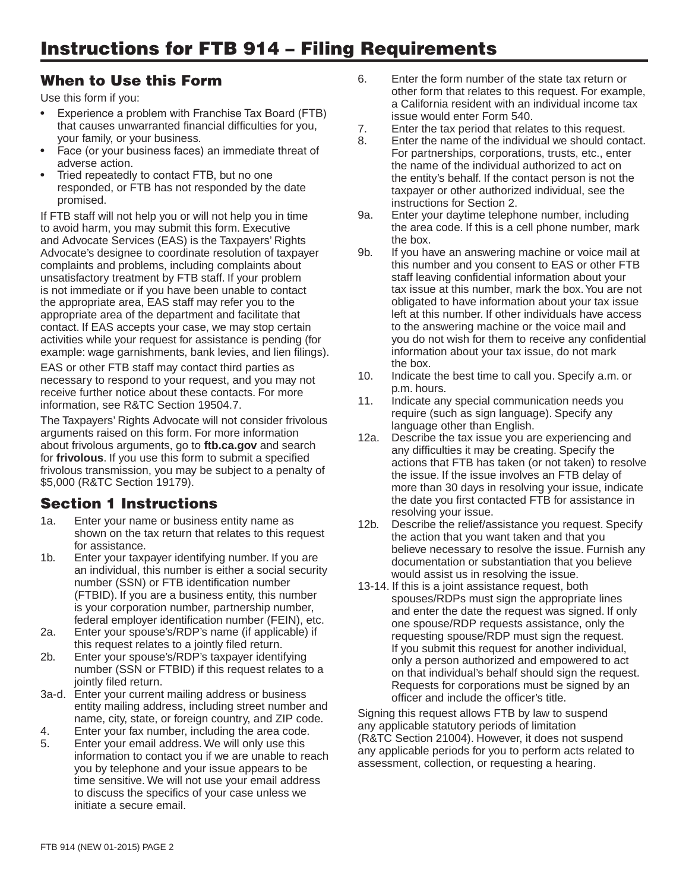- Experience a problem with Franchise Tax Board (FTB) that causes unwarranted financial difficulties for you, that causes unwarranted financial difficulties for you,<br>
your family, or your business.<br>
Face (or your business faces) an immediate threat of and the name of the individual we should contact.<br>
For partnerships corporations
- 
- 

If FTB staff will not help you or will not help you in time 9a. Enter your daytime telephone number, including to avoid harm, you may submit this form. Executive the area code. If this is a cell phone number, mark and Advocate Services (EAS) is the Taxpayers' Rights the box.<br>Advocate's designee to coordinate resolution of taxpayer 9b. If you have an answering machine or voice mail at Advocate's designee to coordinate resolution of taxpayer 9b. If you have an answering machine or voice mail at complaints about this number and you consent to EAS or other FTB complaints and problems, including complaints about this number and you consent to EAS or other FT<br>unsatisfactory treatment by FTB staff. If your problem staff leaving confidential information about your unsatisfactory treatment by FTB staff. If your problem staff leaving confidential information about your<br>is not immediate or if you have been unable to contact that issue at this number, mark the box. You are not is not immediate or if you have been unable to contact this number, mark the box. You are not<br>the appropriate area, EAS staff may refer you to the state obligated to have information about your tax issue the appropriate area, EAS staff may refer you to the appropriate area of the department and facilitate that **left at this number.** If other individuals have access contact. If EAS accepts your case, we may stop certain activities while your request for assistance is pending (for you do not wish for them to receive any confidential example: wage garnishments, bank levies, and lien filings). example: wage garnishments, bank levies, and lien filings). information about information about the box.

EAS or other FTB staff may contact third parties as<br>
necessary to respond to your request, and you may not<br>
receive further notice about these contacts. For more<br>
information, see R&TC Section 19504.7.<br>
The box.<br>
10. Indic

information, see R&TC Section 19504.7.<br>
The Taxpayers' Rights Advocate will not consider frivolous<br>
arguments raised on this form. For more information<br>
about frivolous arguments, go to **ftb.ca.gov** and search<br>
for **frivol** 

- 
- 
- 
- 
- 
- 
- time sensitive. We will not use your email address to discuss the specifics of your case unless we initiate a secure email.
- When to Use this Form 6. Enter the form number of the state tax return or other form that relates to this request. For example,<br>Use this form if you:<br>Experience a problem with Franchise Tax Board (FTB)<br>issue would enter Form 540.
	-
	- Face (or your business faces) an immediate threat of Formations, corporations, trusts, etc., enter adverse action.<br>
	The name of the individual authorized to act on<br>
	Tried repeatedly to contact FTB, but no one the entity's Tried repeatedly to contact FTB, but no one the entity's behalf. If the contact person is not the responded, or FTB has not responded by the date taxpayer or other authorized individual, see the promised.
		-
- contact. If EAS accepts your case, we may stop certain to the answering machine or the voice mail and<br>
activities while your request for assistance is pending (for solution of wish for them to receive any confidential
	-
	-
- Section 1 Instructions the date you first contacted FTB for assistance in<br>resolving your issue.
	-
- Final Territorial Charles to this resolution of the effective and end end end end end end end and the territorial of a sistem of the street of a sistem of the street of a sistem of the territoric and that you believe in th

entity mailing address, including street number and<br>name, city, state, or foreign country, and ZIP code.<br>4. Enter your fax number, including the area code.<br>5. Enter your email address. We will only use this<br>information to